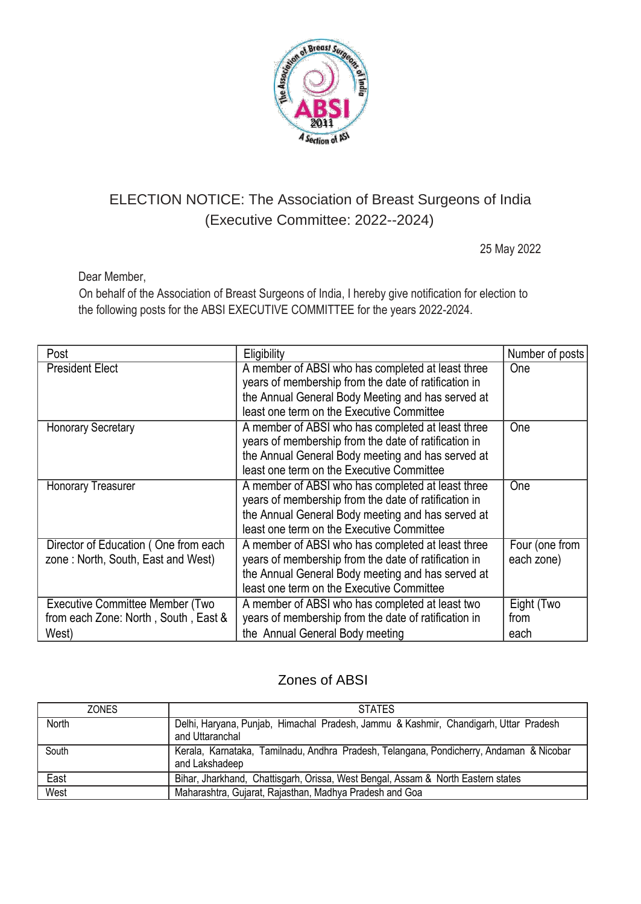

## ELECTION NOTICE: The Association of Breast Surgeons of India (Executive Committee: 2022--2024)

25 May 2022

Dear Member,

On behalf of the Association of Breast Surgeons of India, I hereby give notification for election to the following posts for the ABSI EXECUTIVE COMMITTEE for the years 2022-2024.

| Post                                                                             | Eligibility                                                                                                                                                                                                 | Number of posts              |
|----------------------------------------------------------------------------------|-------------------------------------------------------------------------------------------------------------------------------------------------------------------------------------------------------------|------------------------------|
| <b>President Elect</b>                                                           | A member of ABSI who has completed at least three<br>years of membership from the date of ratification in<br>the Annual General Body Meeting and has served at<br>least one term on the Executive Committee | <b>One</b>                   |
| <b>Honorary Secretary</b>                                                        | A member of ABSI who has completed at least three<br>years of membership from the date of ratification in<br>the Annual General Body meeting and has served at<br>least one term on the Executive Committee | One                          |
| <b>Honorary Treasurer</b>                                                        | A member of ABSI who has completed at least three<br>years of membership from the date of ratification in<br>the Annual General Body meeting and has served at<br>least one term on the Executive Committee | <b>One</b>                   |
| Director of Education (One from each<br>zone: North, South, East and West)       | A member of ABSI who has completed at least three<br>years of membership from the date of ratification in<br>the Annual General Body meeting and has served at<br>least one term on the Executive Committee | Four (one from<br>each zone) |
| Executive Committee Member (Two<br>from each Zone: North, South, East &<br>West) | A member of ABSI who has completed at least two<br>years of membership from the date of ratification in<br>the Annual General Body meeting                                                                  | Eight (Two<br>from<br>each   |

## Zones of ABSI

| <b>ZONES</b> | <b>STATES</b>                                                                                             |
|--------------|-----------------------------------------------------------------------------------------------------------|
| North        | Delhi, Haryana, Punjab, Himachal Pradesh, Jammu & Kashmir, Chandigarh, Uttar Pradesh<br>and Uttaranchal   |
| South        | Kerala, Karnataka, Tamilnadu, Andhra Pradesh, Telangana, Pondicherry, Andaman & Nicobar<br>and Lakshadeep |
| East         | Bihar, Jharkhand, Chattisgarh, Orissa, West Bengal, Assam & North Eastern states                          |
| West         | Maharashtra, Gujarat, Rajasthan, Madhya Pradesh and Goa                                                   |